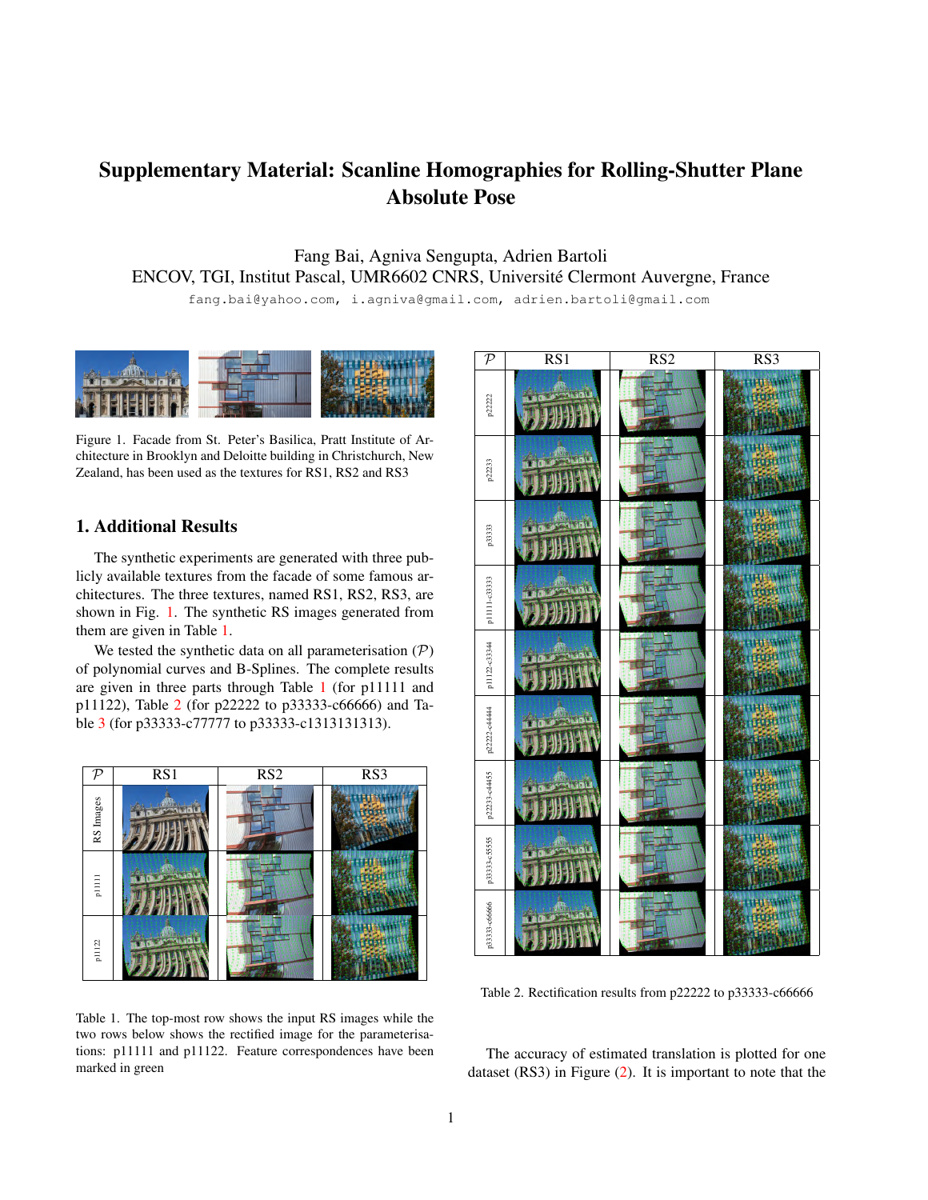## Supplementary Material: Scanline Homographies for Rolling-Shutter Plane Absolute Pose

Fang Bai, Agniva Sengupta, Adrien Bartoli ENCOV, TGI, Institut Pascal, UMR6602 CNRS, Universite Clermont Auvergne, France ´

fang.bai@yahoo.com, i.agniva@gmail.com, adrien.bartoli@gmail.com

<span id="page-0-0"></span>

Figure 1. Facade from St. Peter's Basilica, Pratt Institute of Architecture in Brooklyn and Deloitte building in Christchurch, New Zealand, has been used as the textures for RS1, RS2 and RS3

## 1. Additional Results

The synthetic experiments are generated with three publicly available textures from the facade of some famous architectures. The three textures, named RS1, RS2, RS3, are shown in Fig. [1.](#page-0-0) The synthetic RS images generated from them are given in Table [1.](#page-0-1)

We tested the synthetic data on all parameterisation  $(\mathcal{P})$ of polynomial curves and B-Splines. The complete results are given in three parts through Table [1](#page-0-1) (for p11111 and p11122), Table [2](#page-0-2) (for p22222 to p33333-c66666) and Table [3](#page-1-0) (for p33333-c77777 to p33333-c1313131313).

<span id="page-0-1"></span>

Table 1. The top-most row shows the input RS images while the two rows below shows the rectified image for the parameterisations: p11111 and p11122. Feature correspondences have been marked in green

<span id="page-0-2"></span>

Table 2. Rectification results from p22222 to p33333-c66666

The accuracy of estimated translation is plotted for one dataset (RS3) in Figure [\(2\)](#page-1-1). It is important to note that the